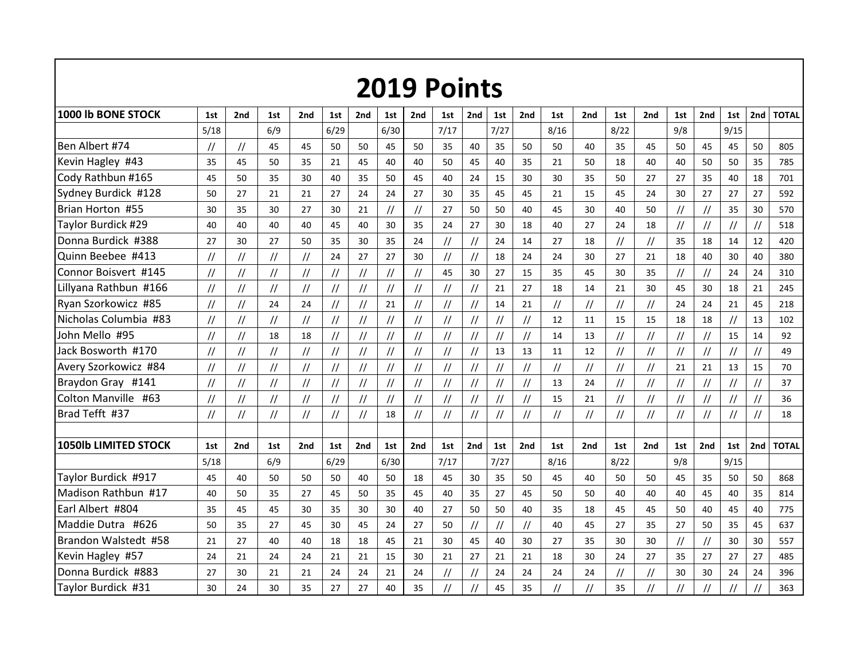|                       |                   |                                  |                                  |                                  |                                  |                                  |               |                                  | <b>2019 Points</b>               |                                                              |                                  |                                  |                                                              |                |                                  |                |               |                                  |                                  |                                  |              |
|-----------------------|-------------------|----------------------------------|----------------------------------|----------------------------------|----------------------------------|----------------------------------|---------------|----------------------------------|----------------------------------|--------------------------------------------------------------|----------------------------------|----------------------------------|--------------------------------------------------------------|----------------|----------------------------------|----------------|---------------|----------------------------------|----------------------------------|----------------------------------|--------------|
| 1000 Ib BONE STOCK    | 1st               | 2nd                              | 1st                              | 2nd                              | 1st                              | 2nd                              | 1st           | 2nd                              | 1st                              | 2nd                                                          | 1st                              | 2nd                              | 1st                                                          | 2nd            | 1st                              | 2nd            | 1st           | 2nd                              | 1st                              | 2nd                              | <b>TOTAL</b> |
|                       | 5/18              |                                  | 6/9                              |                                  | 6/29                             |                                  | 6/30          |                                  | 7/17                             |                                                              | 7/27                             |                                  | 8/16                                                         |                | 8/22                             |                | 9/8           |                                  | 9/15                             |                                  |              |
| Ben Albert #74        | $\frac{1}{2}$     | $\frac{1}{2}$                    | 45                               | 45                               | 50                               | 50                               | 45            | 50                               | 35                               | 40                                                           | 35                               | 50                               | 50                                                           | 40             | 35                               | 45             | 50            | 45                               | 45                               | 50                               | 805          |
| Kevin Hagley #43      | 35                | 45                               | 50                               | 35                               | 21                               | 45                               | 40            | 40                               | 50                               | 45                                                           | 40                               | 35                               | 21                                                           | 50             | 18                               | 40             | 40            | 50                               | 50                               | 35                               | 785          |
| Cody Rathbun #165     | 45                | 50                               | 35                               | 30                               | 40                               | 35                               | 50            | 45                               | 40                               | 24                                                           | 15                               | 30                               | 30                                                           | 35             | 50                               | 27             | 27            | 35                               | 40                               | 18                               | 701          |
| Sydney Burdick #128   | 50                | 27                               | 21                               | 21                               | 27                               | 24                               | 24            | 27                               | 30                               | 35                                                           | 45                               | 45                               | 21                                                           | 15             | 45                               | 24             | 30            | 27                               | 27                               | 27                               | 592          |
| Brian Horton #55      | 30                | 35                               | 30                               | 27                               | 30                               | 21                               | $\frac{1}{2}$ | $\ensuremath{\mathnormal{/\!/}}$ | 27                               | 50                                                           | 50                               | 40                               | 45                                                           | 30             | 40                               | 50             | $\sqrt{}$     | $\frac{1}{2}$                    | 35                               | 30                               | 570          |
| Taylor Burdick #29    | 40                | 40                               | 40                               | 40                               | 45                               | 40                               | 30            | 35                               | 24                               | 27                                                           | 30                               | 18                               | 40                                                           | 27             | 24                               | 18             | $\sqrt{ }$    | $\sqrt{}$                        | $\ensuremath{\mathnormal{/\!/}}$ | $\frac{1}{2}$                    | 518          |
| Donna Burdick #388    | 27                | 30                               | 27                               | 50                               | 35                               | 30                               | 35            | 24                               | $\ensuremath{\mathnormal{/\!/}}$ | $^{\prime\prime}$                                            | 24                               | 14                               | 27                                                           | 18             | $\sqrt{}$                        | $\frac{1}{2}$  | 35            | 18                               | 14                               | 12                               | 420          |
| Quinn Beebee #413     | $\frac{1}{2}$     | $\frac{1}{2}$                    | $\frac{1}{2}$                    | $\frac{1}{2}$                    | 24                               | 27                               | 27            | 30                               | $\frac{1}{2}$                    | $\frac{1}{2}$                                                | 18                               | 24                               | 24                                                           | 30             | 27                               | 21             | 18            | 40                               | 30                               | 40                               | 380          |
| Connor Boisvert #145  | $\frac{1}{2}$     | $\ensuremath{\mathnormal{/\!/}}$ | $\frac{1}{2}$                    | $\frac{1}{2}$                    | $\sqrt{}$                        | $\ensuremath{\mathnormal{/\!/}}$ | $\frac{1}{2}$ | $\ensuremath{\mathnormal{/\!/}}$ | 45                               | 30                                                           | 27                               | 15                               | 35                                                           | 45             | 30                               | 35             | $\sqrt{}$     | $\frac{1}{2}$                    | 24                               | 24                               | 310          |
| Lillyana Rathbun #166 | $\frac{1}{2}$     | $\sqrt{ }$                       | $\frac{1}{2}$                    | $\overline{11}$                  | $\overline{11}$                  | $\frac{1}{2}$                    | $\sqrt{}$     | $\frac{1}{2}$                    | $\frac{1}{2}$                    | $\frac{1}{2}$                                                | 21                               | 27                               | 18                                                           | 14             | 21                               | 30             | 45            | 30                               | 18                               | 21                               | 245          |
| Ryan Szorkowicz #85   | $^{\prime\prime}$ | $\prime\prime$                   | 24                               | 24                               | $^{\prime\prime}$                | $^{\prime\prime}$                | 21            | $\ensuremath{\mathnormal{11}}$   | $\frac{1}{2}$                    | $\prime\prime$                                               | 14                               | 21                               | $\ensuremath{\mathnormal{/\!/}}$                             | $\prime\prime$ | $\prime\prime$                   | //             | 24            | 24                               | 21                               | 45                               | 218          |
| Nicholas Columbia #83 | $\sqrt{}$         | $\sqrt{}$                        | $\frac{1}{2}$                    | $\overline{11}$                  | $\sqrt{}$                        | $\frac{1}{2}$                    | $\frac{1}{2}$ | $\frac{1}{2}$                    | $\ensuremath{\mathnormal{/\!/}}$ | $\frac{1}{2}$                                                | $\frac{1}{2}$                    | $\frac{1}{2}$                    | 12                                                           | 11             | 15                               | 15             | 18            | 18                               | $\frac{1}{2}$                    | 13                               | 102          |
| John Mello #95        | $\frac{1}{2}$     | $\frac{1}{2}$                    | 18                               | 18                               | $\frac{1}{2}$                    | $\frac{1}{2}$                    | $\frac{1}{2}$ | $\ensuremath{\mathnormal{/\!/}}$ | $\frac{1}{2}$                    | $\frac{1}{2}$                                                | $\frac{1}{2}$                    | $\frac{1}{2}$                    | 14                                                           | 13             | $\frac{1}{2}$                    | $\frac{1}{2}$  | $\frac{1}{2}$ | $\frac{1}{2}$                    | 15                               | 14                               | 92           |
| Jack Bosworth #170    | $\sqrt{}$         | $\ensuremath{\mathnormal{/\!/}}$ | $\frac{1}{2}$                    | $\ensuremath{\mathnormal{/\!/}}$ | $\frac{1}{2}$                    | $\ensuremath{\mathnormal{/\!/}}$ | $\frac{1}{2}$ | $\ensuremath{\mathnormal{/\!/}}$ | $\ensuremath{\mathnormal{/\!/}}$ | $\ensuremath{\mathnormal{}}\slash\ensuremath{\mathnormal{}}$ | 13                               | 13                               | 11                                                           | 12             | $\sqrt{}$                        | $\frac{1}{2}$  | $\frac{1}{2}$ | $\ensuremath{\mathnormal{/\!/}}$ | $\frac{1}{2}$                    | $\ensuremath{\mathnormal{/\!/}}$ | 49           |
| Avery Szorkowicz #84  | $\frac{1}{2}$     | $\ensuremath{\mathnormal{/\!/}}$ | $\frac{1}{2}$                    | $\overline{11}$                  | $\frac{1}{2}$                    | $\frac{1}{2}$                    | $\frac{1}{2}$ | $\frac{1}{2}$                    | $\frac{1}{2}$                    | $^{\prime\prime}$                                            | $\sqrt{}$                        | $\frac{1}{2}$                    | $\sqrt{}$                                                    | $\frac{1}{2}$  | $\frac{1}{2}$                    | $\frac{1}{2}$  | 21            | 21                               | 13                               | 15                               | 70           |
| Braydon Gray #141     | $\frac{1}{2}$     | $\sqrt{}$                        | $\ensuremath{\mathnormal{/\!/}}$ | $\overline{11}$                  | $\frac{1}{2}$                    | $\ensuremath{\mathnormal{/\!/}}$ | $\frac{1}{2}$ | $\ensuremath{\mathnormal{/\!/}}$ | $\frac{1}{2}$                    | $\frac{1}{2}$                                                | $\frac{1}{2}$                    | $\ensuremath{\mathnormal{/\!/}}$ | 13                                                           | 24             | $\frac{1}{2}$                    | $\frac{1}{2}$  | $\frac{1}{2}$ | $\ensuremath{\mathnormal{/\!/}}$ | $\frac{1}{2}$                    | $\sqrt{}$                        | 37           |
| Colton Manville #63   | $\sqrt{}$         | $\frac{1}{2}$                    | $\frac{1}{2}$                    | $\frac{1}{2}$                    | $\frac{1}{2}$                    | $\frac{1}{2}$                    | $\frac{1}{2}$ | $\frac{1}{2}$                    | $\frac{1}{2}$                    | $\frac{1}{2}$                                                | $\frac{1}{2}$                    | $\frac{1}{2}$                    | 15                                                           | 21             | $\frac{1}{2}$                    | $\frac{1}{2}$  | $\sqrt{}$     | $\frac{1}{2}$                    | $\frac{1}{2}$                    | $\frac{1}{2}$                    | 36           |
| Brad Tefft #37        | $\frac{1}{2}$     | $\sqrt{}$                        | $\frac{1}{2}$                    | $\ensuremath{\mathnormal{/\!/}}$ | $\ensuremath{\mathnormal{/\!/}}$ | $^{\prime\prime}$                | 18            | $\frac{1}{2}$                    | $\ensuremath{\mathnormal{/\!/}}$ | $^{\prime\prime}$                                            | $\ensuremath{\mathnormal{/\!/}}$ | $\ensuremath{\mathnormal{/\!/}}$ | $\ensuremath{\mathnormal{}}\slash\ensuremath{\mathnormal{}}$ | $\frac{1}{2}$  | $\ensuremath{\mathnormal{/\!/}}$ | $\frac{1}{2}$  | $\frac{1}{2}$ | $\ensuremath{\mathnormal{/\!/}}$ | $\frac{1}{2}$                    | $\frac{1}{2}$                    | 18           |
|                       |                   |                                  |                                  |                                  |                                  |                                  |               |                                  |                                  |                                                              |                                  |                                  |                                                              |                |                                  |                |               |                                  |                                  |                                  |              |
| 1050lb LIMITED STOCK  | 1st               | 2nd                              | 1st                              | 2nd                              | 1st                              | 2nd                              | 1st           | 2nd                              | 1st                              | 2nd                                                          | 1st                              | 2nd                              | 1st                                                          | 2nd            | 1st                              | 2nd            | 1st           | 2nd                              | 1st                              | 2 <sub>nd</sub>                  | <b>TOTAL</b> |
|                       | 5/18              |                                  | 6/9                              |                                  | 6/29                             |                                  | 6/30          |                                  | 7/17                             |                                                              | 7/27                             |                                  | 8/16                                                         |                | 8/22                             |                | 9/8           |                                  | 9/15                             |                                  |              |
| Taylor Burdick #917   | 45                | 40                               | 50                               | 50                               | 50                               | 40                               | 50            | 18                               | 45                               | 30                                                           | 35                               | 50                               | 45                                                           | 40             | 50                               | 50             | 45            | 35                               | 50                               | 50                               | 868          |
| Madison Rathbun #17   | 40                | 50                               | 35                               | 27                               | 45                               | 50                               | 35            | 45                               | 40                               | 35                                                           | 27                               | 45                               | 50                                                           | 50             | 40                               | 40             | 40            | 45                               | 40                               | 35                               | 814          |
| Earl Albert #804      | 35                | 45                               | 45                               | 30                               | 35                               | 30                               | 30            | 40                               | 27                               | 50                                                           | 50                               | 40                               | 35                                                           | 18             | 45                               | 45             | 50            | 40                               | 45                               | 40                               | 775          |
| Maddie Dutra #626     | 50                | 35                               | 27                               | 45                               | 30                               | 45                               | 24            | 27                               | 50                               | $\frac{1}{2}$                                                | $\ensuremath{\mathnormal{/\!/}}$ | $\ensuremath{\mathnormal{/\!/}}$ | 40                                                           | 45             | 27                               | 35             | 27            | 50                               | 35                               | 45                               | 637          |
| Brandon Walstedt #58  | 21                | 27                               | 40                               | 40                               | 18                               | 18                               | 45            | 21                               | 30                               | 45                                                           | 40                               | 30                               | 27                                                           | 35             | 30                               | 30             | $\frac{1}{2}$ | $\frac{1}{2}$                    | 30                               | 30                               | 557          |
| Kevin Hagley #57      | 24                | 21                               | 24                               | 24                               | 21                               | 21                               | 15            | 30                               | 21                               | 27                                                           | 21                               | 21                               | 18                                                           | 30             | 24                               | 27             | 35            | 27                               | 27                               | 27                               | 485          |
| Donna Burdick #883    | 27                | 30                               | 21                               | 21                               | 24                               | 24                               | 21            | 24                               | $\sqrt{}$                        | $\frac{1}{2}$                                                | 24                               | 24                               | 24                                                           | 24             | $\frac{1}{2}$                    | $\frac{1}{2}$  | 30            | 30                               | 24                               | 24                               | 396          |
| Taylor Burdick #31    | 30                | 24                               | 30                               | 35                               | 27                               | 27                               | 40            | 35                               | $\overline{11}$                  | $\sqrt{}$                                                    | 45                               | 35                               | $\frac{1}{2}$                                                | $\frac{1}{2}$  | 35                               | $\overline{1}$ | $\frac{1}{2}$ | $\frac{1}{2}$                    | $\frac{1}{2}$                    | $\frac{1}{2}$                    | 363          |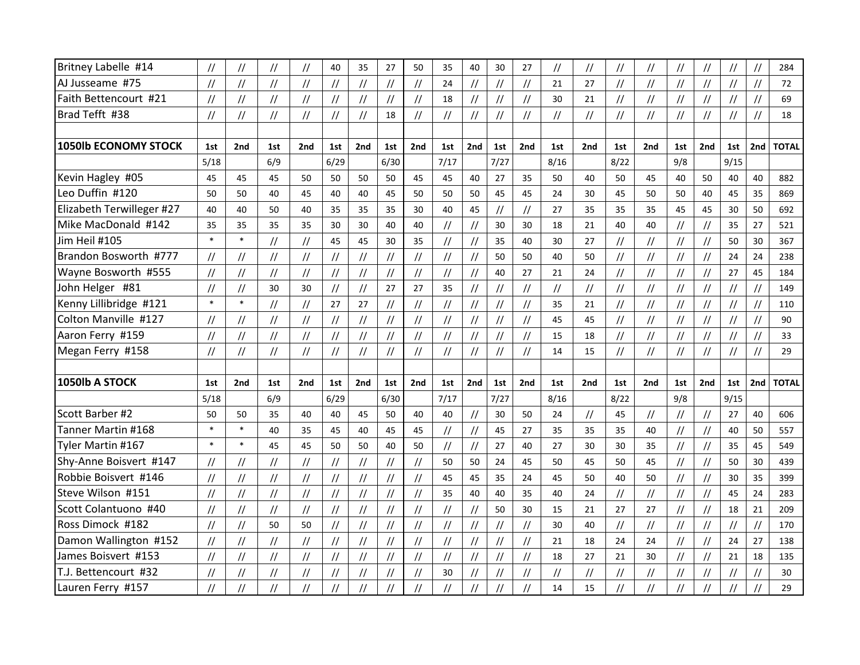| Britney Labelle #14         | $\prime\prime$ | $\frac{1}{2}$                    | $^{\prime\prime}$ | $\frac{1}{2}$                        | 40            | 35                               | 27                               | 50                               | 35                               | 40                               | 30                                                           | 27                               | //                               | $\frac{1}{2}$                    | $\frac{1}{2}$                    | $\frac{1}{2}$                    | $\frac{1}{2}$                    | $\frac{1}{2}$                    | $\frac{1}{2}$                                                | $\frac{1}{2}$                                                | 284          |
|-----------------------------|----------------|----------------------------------|-------------------|--------------------------------------|---------------|----------------------------------|----------------------------------|----------------------------------|----------------------------------|----------------------------------|--------------------------------------------------------------|----------------------------------|----------------------------------|----------------------------------|----------------------------------|----------------------------------|----------------------------------|----------------------------------|--------------------------------------------------------------|--------------------------------------------------------------|--------------|
| AJ Jusseame #75             | $\frac{1}{2}$  | $\frac{1}{2}$                    | $\frac{1}{2}$     | $\frac{1}{2}$                        | $\frac{1}{2}$ | $\frac{1}{2}$                    | $\frac{1}{2}$                    | $\frac{1}{2}$                    | 24                               | $\frac{1}{2}$                    | $\frac{1}{2}$                                                | $\frac{1}{2}$                    | 21                               | 27                               | $\frac{1}{2}$                    | $\frac{1}{2}$                    | $\frac{1}{2}$                    | $\frac{1}{2}$                    | $\frac{1}{2}$                                                | $\frac{1}{2}$                                                | 72           |
| Faith Bettencourt #21       | $\frac{1}{2}$  | $\frac{1}{2}$                    | $\frac{1}{2}$     | $\frac{1}{2}$                        | $\frac{1}{2}$ | $\ensuremath{\mathnormal{/\!/}}$ | $\frac{1}{2}$                    | $\frac{1}{2}$                    | 18                               | $\frac{1}{2}$                    | $\sqrt{}$                                                    | $\ensuremath{\mathnormal{/\!/}}$ | 30                               | 21                               | $\frac{1}{2}$                    | $\frac{1}{2}$                    | $\sqrt{}$                        | $\frac{1}{2}$                    | $\frac{1}{2}$                                                | $\frac{1}{2}$                                                | 69           |
| Brad Tefft #38              | $\frac{1}{2}$  | $\frac{1}{2}$                    | $\frac{1}{2}$     | $\frac{1}{2}$                        | $\frac{1}{2}$ | $\ensuremath{\mathnormal{/\!/}}$ | 18                               | $\frac{1}{2}$                    | $\frac{1}{2}$                    | $\frac{1}{2}$                    | $\frac{1}{2}$                                                | $\ensuremath{\mathnormal{/\!/}}$ | $\frac{1}{2}$                    | $\frac{1}{2}$                    | $\frac{1}{2}$                    | $\frac{1}{2}$                    | $\sqrt{}$                        | $\frac{1}{2}$                    | $\frac{1}{2}$                                                | $\frac{1}{2}$                                                | 18           |
|                             |                |                                  |                   |                                      |               |                                  |                                  |                                  |                                  |                                  |                                                              |                                  |                                  |                                  |                                  |                                  |                                  |                                  |                                                              |                                                              |              |
| <b>1050lb ECONOMY STOCK</b> | 1st            | 2 <sub>nd</sub>                  | 1st               | 2nd                                  | 1st           | 2nd                              | 1st                              | 2nd                              | 1st                              | 2nd                              | 1st                                                          | 2nd                              | 1st                              | 2nd                              | 1st                              | 2nd                              | 1st                              | 2nd                              | 1st                                                          | 2nd                                                          | <b>TOTAL</b> |
|                             | 5/18           |                                  | 6/9               |                                      | 6/29          |                                  | 6/30                             |                                  | 7/17                             |                                  | 7/27                                                         |                                  | 8/16                             |                                  | 8/22                             |                                  | 9/8                              |                                  | 9/15                                                         |                                                              |              |
| Kevin Hagley #05            | 45             | 45                               | 45                | 50                                   | 50            | 50                               | 50                               | 45                               | 45                               | 40                               | 27                                                           | 35                               | 50                               | 40                               | 50                               | 45                               | 40                               | 50                               | 40                                                           | 40                                                           | 882          |
| Leo Duffin #120             | 50             | 50                               | 40                | 45                                   | 40            | 40                               | 45                               | 50                               | 50                               | 50                               | 45                                                           | 45                               | 24                               | 30                               | 45                               | 50                               | 50                               | 40                               | 45                                                           | 35                                                           | 869          |
| Elizabeth Terwilleger #27   | 40             | 40                               | 50                | 40                                   | 35            | 35                               | 35                               | 30                               | 40                               | 45                               | $\frac{1}{2}$                                                | $\frac{1}{2}$                    | 27                               | 35                               | 35                               | 35                               | 45                               | 45                               | 30                                                           | 50                                                           | 692          |
| Mike MacDonald #142         | 35             | 35                               | 35                | 35                                   | 30            | 30                               | 40                               | 40                               | $\frac{1}{2}$                    | $\frac{1}{2}$                    | 30                                                           | 30                               | 18                               | 21                               | 40                               | 40                               | $\frac{1}{2}$                    | $\frac{1}{2}$                    | 35                                                           | 27                                                           | 521          |
| Jim Heil #105               | $\ast$         | $\ast$                           | $^{\prime\prime}$ | $\frac{1}{2}$                        | 45            | 45                               | 30                               | 35                               | $\frac{1}{2}$                    | $\frac{1}{2}$                    | 35                                                           | 40                               | 30                               | 27                               | $\frac{1}{2}$                    | $\frac{1}{2}$                    | $\sqrt{}$                        | $\ensuremath{\mathnormal{/\!/}}$ | 50                                                           | 30                                                           | 367          |
| Brandon Bosworth #777       | $\frac{1}{2}$  | $\frac{1}{2}$                    | $\frac{1}{2}$     | $\ensuremath{\mathnormal{/\!/}}$     | $\frac{1}{2}$ | $\ensuremath{\mathnormal{/\!/}}$ | $\frac{1}{2}$                    | $\frac{1}{2}$                    | $\frac{1}{2}$                    | $\frac{1}{2}$                    | 50                                                           | 50                               | 40                               | 50                               | $\frac{1}{2}$                    | $\ensuremath{\mathcal{U}}$       | $\frac{1}{2}$                    | $^{\prime\prime}$                | 24                                                           | 24                                                           | 238          |
| Wayne Bosworth #555         | $\frac{1}{2}$  | $\frac{1}{2}$                    | $\frac{1}{2}$     | $\sqrt{}$                            | $\frac{1}{2}$ | $\ensuremath{\mathnormal{/\!/}}$ | $\ensuremath{\mathnormal{/\!/}}$ | $\ensuremath{\mathnormal{11}}$   | $\frac{1}{2}$                    | $\ensuremath{\mathnormal{/\!/}}$ | 40                                                           | 27                               | 21                               | 24                               | $\sqrt{}$                        | $\ensuremath{\mathnormal{/\!/}}$ | $\frac{1}{2}$                    | $\ensuremath{\mathnormal{/\!/}}$ | 27                                                           | 45                                                           | 184          |
| John Helger #81             | $\frac{1}{2}$  | $\ensuremath{\mathnormal{/\!/}}$ | 30                | 30                                   | $\frac{1}{2}$ | $\ensuremath{\mathnormal{/\!/}}$ | 27                               | 27                               | 35                               | $\frac{1}{2}$                    | $\frac{1}{2}$                                                | $\ensuremath{\mathnormal{/\!/}}$ | $\ensuremath{\mathnormal{/\!/}}$ | $\ensuremath{\mathnormal{/\!/}}$ | $\frac{1}{2}$                    | $\ensuremath{\mathnormal{/\!/}}$ | $\frac{1}{2}$                    | $^{\prime\prime}$                | $\ensuremath{\mathnormal{/\!/}}$                             | $\ensuremath{\mathnormal{1}}\xspace$                         | 149          |
| Kenny Lillibridge #121      | $\ast$         | $\ast$                           | $\frac{1}{2}$     | $\frac{1}{2}$                        | 27            | 27                               | $^{\prime\prime}$                | $\frac{1}{2}$                    | $\frac{1}{2}$                    | $\frac{1}{2}$                    | $\frac{1}{2}$                                                | $\ensuremath{\mathnormal{/\!/}}$ | 35                               | 21                               | $\prime\prime$                   | $\frac{1}{2}$                    | $\sqrt{}$                        | $\frac{1}{2}$                    | $\frac{1}{2}$                                                | $\frac{1}{2}$                                                | 110          |
| Colton Manville #127        | $\frac{1}{2}$  | $\frac{1}{2}$                    | $\frac{1}{2}$     | $\frac{1}{2}$                        | $\prime$      | $\ensuremath{\mathnormal{/\!/}}$ | $\frac{1}{2}$                    | $\frac{1}{2}$                    | $\frac{1}{2}$                    | $\frac{1}{2}$                    | $\sqrt{}$                                                    | $\frac{1}{2}$                    | 45                               | 45                               | $\frac{1}{2}$                    | $\frac{1}{2}$                    | $\sqrt{}$                        | $\frac{1}{2}$                    | $\frac{1}{2}$                                                | $\ensuremath{\mathnormal{}}\slash\ensuremath{\mathnormal{}}$ | 90           |
| Aaron Ferry #159            | $\frac{1}{2}$  | $\frac{1}{2}$                    | $\frac{1}{2}$     | $^{\prime\prime}$                    | $\frac{1}{2}$ | $\ensuremath{\mathnormal{/\!/}}$ | $\frac{1}{2}$                    | $\frac{1}{2}$                    | $\sqrt{}$                        | $\ensuremath{\mathnormal{/\!/}}$ | $\frac{1}{2}$                                                | $\ensuremath{\mathnormal{/\!/}}$ | 15                               | 18                               | $\frac{1}{2}$                    | $\ensuremath{\mathcal{U}}$       | $\ensuremath{\mathnormal{/\!/}}$ | $\frac{1}{2}$                    | $\frac{1}{2}$                                                | $\frac{1}{2}$                                                | 33           |
| Megan Ferry #158            | $\frac{1}{2}$  | $\frac{1}{2}$                    | $\frac{1}{2}$     | $\frac{1}{2}$                        | $\frac{1}{2}$ | $\sqrt{}$                        | $\frac{1}{2}$                    | $\sqrt{}$                        | $\frac{1}{2}$                    | $\sqrt{}$                        | $\frac{1}{2}$                                                | $\frac{1}{2}$                    | 14                               | 15                               | $\frac{1}{2}$                    | $\sqrt{}$                        | $\frac{1}{2}$                    | $\ensuremath{\mathnormal{/\!/}}$ | $\frac{1}{2}$                                                | $\frac{1}{2}$                                                | 29           |
|                             |                |                                  |                   |                                      |               |                                  |                                  |                                  |                                  |                                  |                                                              |                                  |                                  |                                  |                                  |                                  |                                  |                                  |                                                              |                                                              |              |
| 1050lb A STOCK              | 1st            | 2nd                              | 1st               | 2nd                                  | 1st           | 2nd                              | 1st                              | 2nd                              | 1st                              | 2nd                              | 1st                                                          | 2nd                              | 1st                              | 2nd                              | 1st                              | 2nd                              | 1st                              | 2nd                              | 1st                                                          | 2nd                                                          | <b>TOTAL</b> |
|                             | 5/18           |                                  | 6/9               |                                      | 6/29          |                                  | 6/30                             |                                  | 7/17                             |                                  | 7/27                                                         |                                  | 8/16                             |                                  | 8/22                             |                                  | 9/8                              |                                  | 9/15                                                         |                                                              |              |
| Scott Barber #2             | 50             | 50                               | 35                | 40                                   | 40            | 45                               | 50                               | 40                               | 40                               | $\frac{1}{2}$                    | 30                                                           | 50                               | 24                               | $\frac{1}{2}$                    | 45                               | $\frac{1}{2}$                    | $\prime\prime$                   | $\frac{1}{2}$                    | 27                                                           | 40                                                           | 606          |
| Tanner Martin #168          | $\ast$         | $\ast$                           | 40                | 35                                   | 45            | 40                               | 45                               | 45                               | $\frac{1}{2}$                    | $\frac{1}{2}$                    | 45                                                           | 27                               | 35                               | 35                               | 35                               | 40                               | $\frac{1}{2}$                    | $\frac{1}{2}$                    | 40                                                           | 50                                                           | 557          |
| Tyler Martin #167           | $\ast$         | $\ast$                           | 45                | 45                                   | 50            | 50                               | 40                               | 50                               | $\sqrt{}$                        | $\frac{1}{2}$                    | 27                                                           | 40                               | 27                               | 30                               | 30                               | 35                               | $\frac{1}{2}$                    | $\frac{1}{2}$                    | 35                                                           | 45                                                           | 549          |
| Shy-Anne Boisvert #147      | $\frac{1}{2}$  | $\frac{1}{2}$                    | $\frac{1}{2}$     | $\frac{1}{2}$                        | $\frac{1}{2}$ | $\ensuremath{\mathnormal{/\!/}}$ | $\frac{1}{2}$                    | $\sqrt{}$                        | 50                               | 50                               | 24                                                           | 45                               | 50                               | 45                               | 50                               | 45                               | $\frac{1}{2}$                    | $\frac{1}{2}$                    | 50                                                           | 30                                                           | 439          |
| Robbie Boisvert #146        | $\frac{1}{2}$  | $\frac{1}{2}$                    | $\sqrt{}$         | $\frac{1}{2}$                        | $\frac{1}{2}$ | $\frac{1}{2}$                    | $\frac{1}{2}$                    | $\frac{1}{2}$                    | 45                               | 45                               | 35                                                           | 24                               | 45                               | 50                               | 40                               | 50                               | $\sqrt{}$                        | $^{\prime\prime}$                | 30                                                           | 35                                                           | 399          |
| Steve Wilson #151           | $\frac{1}{2}$  | $\ensuremath{\mathnormal{/\!/}}$ | $\frac{1}{2}$     | $\ensuremath{\mathnormal{1}}\xspace$ | $\frac{1}{2}$ | $\ensuremath{\mathnormal{/\!/}}$ | $\frac{1}{2}$                    | $\ensuremath{\mathnormal{/\!/}}$ | 35                               | 40                               | 40                                                           | 35                               | 40                               | 24                               | $\ensuremath{\mathnormal{/\!/}}$ | $\ensuremath{\mathnormal{/\!/}}$ | $\frac{1}{2}$                    | $\ensuremath{\mathnormal{11}}$   | 45                                                           | 24                                                           | 283          |
| Scott Colantuono #40        | $\frac{1}{2}$  | $\ensuremath{\mathnormal{/\!/}}$ | $\frac{1}{2}$     | $\ensuremath{\mathnormal{/\!/}}$     | $\frac{1}{2}$ | $\ensuremath{\mathnormal{/\!/}}$ | $^{\prime\prime}$                | $\frac{1}{2}$                    | $\ensuremath{\mathnormal{/\!/}}$ | $\ensuremath{\mathnormal{/\!/}}$ | 50                                                           | 30                               | 15                               | 21                               | 27                               | 27                               | $\ensuremath{\mathnormal{/\!/}}$ | $\ensuremath{\mathnormal{/\!/}}$ | 18                                                           | 21                                                           | 209          |
| Ross Dimock #182            | $\frac{1}{2}$  | $\frac{1}{2}$                    | 50                | 50                                   | $\frac{1}{2}$ | $\ensuremath{\mathnormal{/\!/}}$ | $\ensuremath{\mathnormal{/\!/}}$ | $\frac{1}{2}$                    | $\frac{1}{2}$                    | $\ensuremath{\mathnormal{/\!/}}$ | $\ensuremath{\mathnormal{/\!/}}$                             | $\ensuremath{\mathnormal{/\!/}}$ | 30                               | 40                               | $\frac{1}{2}$                    | $\sqrt{}$                        | $\frac{1}{2}$                    | $\sqrt{}$                        | $\ensuremath{\mathnormal{/\!/}}$                             | $\ensuremath{\mathnormal{/\!/}}$                             | 170          |
| Damon Wallington #152       | $\frac{1}{2}$  | $\frac{1}{2}$                    | $\frac{1}{2}$     | $\frac{1}{2}$                        | $\frac{1}{2}$ | $\sqrt{}$                        | $\frac{1}{2}$                    | $\frac{1}{2}$                    | $\frac{1}{2}$                    | $\frac{1}{2}$                    | $\sqrt{}$                                                    | $\sqrt{}$                        | 21                               | 18                               | 24                               | 24                               | $\frac{1}{2}$                    | $\frac{1}{2}$                    | 24                                                           | 27                                                           | 138          |
| James Boisvert #153         | $\frac{1}{2}$  | $\frac{1}{2}$                    | $\frac{1}{2}$     | $\frac{1}{2}$                        | $\frac{1}{2}$ | $\ensuremath{\mathnormal{/\!/}}$ | $^{\prime\prime}$                | $\frac{1}{2}$                    | $\frac{1}{2}$                    | $\frac{1}{2}$                    | $\frac{1}{2}$                                                | $\sqrt{}$                        | 18                               | 27                               | 21                               | 30                               | $\frac{1}{2}$                    | $\frac{1}{2}$                    | 21                                                           | 18                                                           | 135          |
| T.J. Bettencourt #32        | $\frac{1}{2}$  | $\frac{1}{2}$                    | $\frac{1}{2}$     | $\frac{1}{2}$                        | $\frac{1}{2}$ | $\ensuremath{\mathnormal{/\!/}}$ | //                               | $\sqrt{}$                        | 30                               | $\sqrt{}$                        | $\ensuremath{\mathnormal{}}\slash\ensuremath{\mathnormal{}}$ | $\ensuremath{\mathnormal{/\!/}}$ | $\frac{1}{2}$                    | $\frac{1}{2}$                    | $\frac{1}{2}$                    | $\ensuremath{\mathnormal{/\!/}}$ | $\sqrt{}$                        | //                               | $\ensuremath{\mathnormal{}}\slash\ensuremath{\mathnormal{}}$ | $\sqrt{}$                                                    | 30           |
| Lauren Ferry #157           | //             | $\frac{1}{2}$                    |                   | $\ensuremath{\mathnormal{/\!/}}$     |               | //                               |                                  |                                  |                                  |                                  |                                                              | $\overline{1}$                   | 14                               | 15                               | $\frac{1}{2}$                    | $\frac{1}{2}$                    | //                               |                                  | $\frac{1}{2}$                                                | //                                                           | 29           |
|                             |                |                                  |                   |                                      |               |                                  |                                  |                                  |                                  |                                  |                                                              |                                  |                                  |                                  |                                  |                                  |                                  |                                  |                                                              |                                                              |              |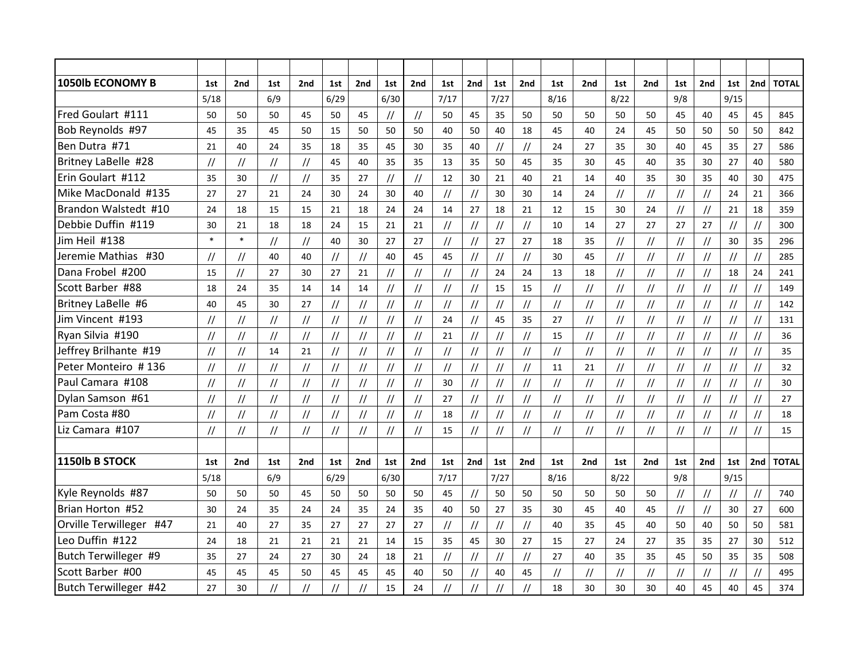| <b>1050lb ECONOMY B</b> | 1st                            | 2nd                              | 1st            | 2nd                              | 1st            | 2nd                              | 1st               | 2nd                              | 1st                              | 2nd                              | 1st                                                          | 2nd                              | 1st                              | 2nd                              | 1st                        | 2nd                              | 1st                              | 2nd                              | 1st                              | 2nd                              | <b>TOTAL</b> |
|-------------------------|--------------------------------|----------------------------------|----------------|----------------------------------|----------------|----------------------------------|-------------------|----------------------------------|----------------------------------|----------------------------------|--------------------------------------------------------------|----------------------------------|----------------------------------|----------------------------------|----------------------------|----------------------------------|----------------------------------|----------------------------------|----------------------------------|----------------------------------|--------------|
|                         | 5/18                           |                                  | 6/9            |                                  | 6/29           |                                  | 6/30              |                                  | 7/17                             |                                  | 7/27                                                         |                                  | 8/16                             |                                  | 8/22                       |                                  | 9/8                              |                                  | 9/15                             |                                  |              |
| Fred Goulart #111       | 50                             | 50                               | 50             | 45                               | 50             | 45                               | $\frac{1}{2}$     | $\frac{1}{2}$                    | 50                               | 45                               | 35                                                           | 50                               | 50                               | 50                               | 50                         | 50                               | 45                               | 40                               | 45                               | 45                               | 845          |
| Bob Reynolds #97        | 45                             | 35                               | 45             | 50                               | 15             | 50                               | 50                | 50                               | 40                               | 50                               | 40                                                           | 18                               | 45                               | 40                               | 24                         | 45                               | 50                               | 50                               | 50                               | 50                               | 842          |
| Ben Dutra #71           | 21                             | 40                               | 24             | 35                               | 18             | 35                               | 45                | 30                               | 35                               | 40                               | $\frac{1}{2}$                                                | $\frac{1}{2}$                    | 24                               | 27                               | 35                         | 30                               | 40                               | 45                               | 35                               | 27                               | 586          |
| Britney LaBelle #28     | $\frac{1}{2}$                  | $\frac{1}{2}$                    | $\frac{1}{2}$  | $\frac{1}{2}$                    | 45             | 40                               | 35                | 35                               | 13                               | 35                               | 50                                                           | 45                               | 35                               | 30                               | 45                         | 40                               | 35                               | 30                               | 27                               | 40                               | 580          |
| Erin Goulart #112       | 35                             | 30                               | $\frac{1}{2}$  | $\sqrt{}$                        | 35             | 27                               | $\frac{1}{2}$     | $\frac{1}{2}$                    | 12                               | 30                               | 21                                                           | 40                               | 21                               | 14                               | 40                         | 35                               | 30                               | 35                               | 40                               | 30                               | 475          |
| Mike MacDonald #135     | 27                             | 27                               | 21             | 24                               | 30             | 24                               | 30                | 40                               | $\frac{1}{2}$                    | $\frac{1}{2}$                    | 30                                                           | 30                               | 14                               | 24                               | $^{\prime\prime}$          | $\frac{1}{2}$                    | $\frac{1}{2}$                    | $\frac{1}{2}$                    | 24                               | 21                               | 366          |
| Brandon Walstedt #10    | 24                             | 18                               | 15             | 15                               | 21             | 18                               | 24                | 24                               | 14                               | 27                               | 18                                                           | 21                               | 12                               | 15                               | 30                         | 24                               | $\prime\prime$                   | $\frac{1}{2}$                    | 21                               | 18                               | 359          |
| Debbie Duffin #119      | 30                             | 21                               | 18             | 18                               | 24             | 15                               | 21                | 21                               | $\sqrt{}$                        | $\frac{1}{2}$                    | $\ensuremath{\mathnormal{/\!/}}$                             | $\frac{1}{2}$                    | 10                               | 14                               | 27                         | 27                               | 27                               | 27                               | $\frac{1}{2}$                    | $\frac{1}{2}$                    | 300          |
| Jim Heil #138           | $\ast$                         | $\ast$                           | $\frac{1}{2}$  | $\sqrt{ }$                       | 40             | 30                               | 27                | 27                               | $\frac{1}{2}$                    | $^{\prime\prime}$                | 27                                                           | 27                               | 18                               | 35                               | $\frac{1}{2}$              | $\frac{1}{2}$                    | $\frac{1}{2}$                    | $\ensuremath{\mathnormal{/\!/}}$ | 30                               | 35                               | 296          |
| Jeremie Mathias #30     | $\frac{1}{2}$                  | $\prime\prime$                   | 40             | 40                               | $\prime\prime$ | $\frac{1}{2}$                    | 40                | 45                               | 45                               | $\frac{1}{2}$                    | $\frac{1}{2}$                                                | $\frac{1}{2}$                    | 30                               | 45                               | $^{\prime\prime}$          | $\frac{1}{2}$                    | $\sqrt{}$                        | $\frac{1}{2}$                    | $\frac{1}{2}$                    | $\frac{1}{2}$                    | 285          |
| Dana Frobel #200        | 15                             | $\sqrt{}$                        | 27             | 30                               | 27             | 21                               | $^{\prime\prime}$ | $\ensuremath{\mathnormal{/\!/}}$ | $\frac{1}{2}$                    | $\frac{1}{2}$                    | 24                                                           | 24                               | 13                               | 18                               | $\frac{1}{2}$              | $\frac{1}{2}$                    | $\ensuremath{\mathnormal{/\!/}}$ | $\sqrt{}$                        | 18                               | 24                               | 241          |
| Scott Barber #88        | 18                             | 24                               | 35             | 14                               | 14             | 14                               | $^{\prime\prime}$ | $\ensuremath{\mathnormal{/\!/}}$ | $\ensuremath{\mathnormal{/\!/}}$ | $\ensuremath{\mathnormal{/\!/}}$ | 15                                                           | 15                               | $\sqrt{}$                        | $\ensuremath{\mathnormal{/\!/}}$ | $^{\prime\prime}$          | $\ensuremath{\mathnormal{/\!/}}$ | $\ensuremath{\mathnormal{/\!/}}$ | $\frac{1}{2}$                    | $\ensuremath{\mathnormal{/\!/}}$ | $\sqrt{}$                        | 149          |
| Britney LaBelle #6      | 40                             | 45                               | 30             | 27                               | $\prime$       | $\frac{1}{2}$                    | $\frac{1}{2}$     | $\frac{1}{2}$                    | $\sqrt{}$                        | $\frac{1}{2}$                    | $\frac{1}{2}$                                                | $\frac{1}{2}$                    | $\frac{1}{2}$                    | $\frac{1}{2}$                    | $\frac{1}{2}$              | $\frac{1}{2}$                    | $\sqrt{}$                        | $\frac{1}{2}$                    | $\frac{1}{2}$                    | $\ensuremath{\mathnormal{11}}$   | 142          |
| Jim Vincent #193        | $\frac{1}{2}$                  | $\frac{1}{2}$                    | $\frac{1}{2}$  | $\frac{1}{2}$                    | $\frac{1}{2}$  | $\frac{1}{2}$                    | $\frac{1}{2}$     | $\frac{1}{2}$                    | 24                               | $\frac{1}{2}$                    | 45                                                           | 35                               | 27                               | $\frac{1}{2}$                    | $\frac{1}{2}$              | $\frac{1}{2}$                    | $\frac{1}{2}$                    | $\ensuremath{\mathnormal{/\!/}}$ | $\frac{1}{2}$                    | $\frac{1}{2}$                    | 131          |
| Ryan Silvia #190        | $\frac{1}{2}$                  | $\frac{1}{2}$                    | $\frac{1}{2}$  | $\frac{1}{2}$                    | $\frac{1}{2}$  | $\frac{1}{2}$                    | $\frac{1}{2}$     | $\frac{1}{2}$                    | 21                               | $\sqrt{}$                        | $\frac{1}{2}$                                                | $\sqrt{}$                        | 15                               | $\frac{1}{2}$                    | $\frac{1}{2}$              | $\ensuremath{\mathnormal{/\!/}}$ | $\frac{1}{2}$                    | $\frac{1}{2}$                    | $\frac{1}{2}$                    | $\frac{1}{2}$                    | 36           |
| Jeffrey Brilhante #19   | $\frac{1}{2}$                  | $\frac{1}{2}$                    | 14             | 21                               | $\frac{1}{2}$  | $\frac{1}{2}$                    | $\frac{1}{2}$     | $\frac{1}{2}$                    | $\sqrt{}$                        | $\frac{1}{2}$                    | $\frac{1}{2}$                                                | $\frac{1}{2}$                    | $\sqrt{}$                        | $\frac{1}{2}$                    | $\frac{1}{2}$              | $\frac{1}{2}$                    | $\frac{1}{2}$                    | $\sqrt{}$                        | $\frac{1}{2}$                    | $\frac{1}{2}$                    | 35           |
| Peter Monteiro #136     | $\ensuremath{\mathnormal{11}}$ | $\frac{1}{2}$                    | $\frac{1}{2}$  | $\frac{1}{2}$                    | $\frac{1}{2}$  | $\frac{1}{2}$                    | $\prime\prime$    | $\frac{1}{2}$                    | $\sqrt{}$                        | $\frac{1}{2}$                    | $\frac{1}{2}$                                                | $\frac{1}{2}$                    | 11                               | 21                               | $\frac{1}{2}$              | $\frac{1}{2}$                    | $\sqrt{}$                        | $\frac{1}{2}$                    | $\frac{1}{2}$                    | $\sqrt{}$                        | 32           |
| Paul Camara #108        | $^{\prime\prime}$              | $\frac{1}{2}$                    | //             | $\frac{1}{2}$                    | //             | $\ensuremath{\mathnormal{/\!/}}$ | $^{\prime\prime}$ | $\frac{1}{2}$                    | 30                               | $^{\prime\prime}$                | $\frac{1}{2}$                                                | $\ensuremath{\mathnormal{/\!/}}$ | $\frac{1}{2}$                    | $\frac{1}{2}$                    | //                         | $\frac{1}{2}$                    | $\frac{1}{2}$                    | $\frac{1}{2}$                    | $\frac{1}{2}$                    | $\frac{1}{2}$                    | 30           |
| Dylan Samson #61        | $\frac{1}{2}$                  | $\ensuremath{\mathnormal{/\!/}}$ | $\frac{1}{2}$  | $\ensuremath{\mathnormal{/\!/}}$ | $\frac{1}{2}$  | $\ensuremath{\mathnormal{/\!/}}$ | $\frac{1}{2}$     | $\ensuremath{\mathnormal{/\!/}}$ | 27                               | $\frac{1}{2}$                    | $\ensuremath{\mathnormal{/\!/}}$                             | $^{\prime\prime}$                | $\ensuremath{\mathnormal{/\!/}}$ | $\ensuremath{\mathnormal{/\!/}}$ | $\ensuremath{\mathcal{U}}$ | $^{\prime\prime}$                | $\ensuremath{\mathnormal{/\!/}}$ | $\ensuremath{\mathnormal{/\!/}}$ | $\ensuremath{\mathnormal{/\!/}}$ | $\ensuremath{\mathnormal{/\!/}}$ | 27           |
| Pam Costa #80           | $\prime$ /                     | $\frac{1}{2}$                    | $\frac{1}{2}$  | $\frac{1}{2}$                    | $\frac{1}{2}$  | $\ensuremath{\mathnormal{/\!/}}$ | $\frac{1}{2}$     | $\frac{1}{2}$                    | 18                               | $\frac{1}{2}$                    | $\frac{1}{2}$                                                | $\sqrt{}$                        | $\frac{1}{2}$                    | $\frac{1}{2}$                    | $\frac{1}{2}$              | $\frac{1}{2}$                    | $\sqrt{}$                        | $\frac{1}{2}$                    | $\frac{1}{2}$                    | $\frac{1}{2}$                    | 18           |
| Liz Camara #107         | $\prime$ /                     | $\sqrt{}$                        | $\prime$       | $\frac{1}{2}$                    | $\frac{1}{2}$  | $\frac{1}{2}$                    | $\frac{1}{2}$     | $\frac{1}{2}$                    | 15                               | $\sqrt{}$                        | $\frac{1}{2}$                                                | $\sqrt{}$                        | $\frac{1}{2}$                    | $\frac{1}{2}$                    | $\frac{1}{2}$              | $\sqrt{}$                        | $\frac{1}{2}$                    | $\frac{1}{2}$                    | $\frac{1}{2}$                    | $\frac{1}{2}$                    | 15           |
| 1150lb B STOCK          | 1st                            | 2nd                              | 1st            | 2nd                              | 1st            | 2nd                              | 1st               | 2nd                              | 1st                              | 2nd                              | 1st                                                          | 2nd                              | 1st                              | 2nd                              | 1st                        | 2nd                              | 1st                              | 2nd                              | 1st                              | 2nd                              | <b>TOTAL</b> |
|                         | 5/18                           |                                  | 6/9            |                                  | 6/29           |                                  | 6/30              |                                  | 7/17                             |                                  | 7/27                                                         |                                  | 8/16                             |                                  | 8/22                       |                                  | 9/8                              |                                  | 9/15                             |                                  |              |
| Kyle Reynolds #87       | 50                             | 50                               | 50             | 45                               | 50             | 50                               | 50                | 50                               | 45                               | $^{\prime\prime}$                | 50                                                           | 50                               | 50                               | 50                               | 50                         | 50                               | $\ensuremath{\mathnormal{/\!/}}$ | $\ensuremath{\mathnormal{/\!/}}$ | $\ensuremath{\mathcal{H}}$       | $\ensuremath{\mathnormal{/\!/}}$ | 740          |
| Brian Horton #52        | 30                             | 24                               | 35             | 24                               | 24             | 35                               | 24                | 35                               | 40                               | 50                               | 27                                                           | 35                               | 30                               | 45                               | 40                         | 45                               | $\sqrt{}$                        | $\frac{1}{2}$                    | 30                               | 27                               | 600          |
| Orville Terwilleger #47 | 21                             | 40                               | 27             | 35                               | 27             | 27                               | 27                | 27                               | $\sqrt{}$                        | $\frac{1}{2}$                    | $\ensuremath{\mathnormal{}}\slash\ensuremath{\mathnormal{}}$ | $\ensuremath{\mathnormal{/\!/}}$ | 40                               | 35                               | 45                         | 40                               | 50                               | 40                               | 50                               | 50                               | 581          |
| Leo Duffin #122         | 24                             | 18                               | 21             | 21                               | 21             | 21                               | 14                | 15                               | 35                               | 45                               | 30                                                           | 27                               | 15                               | 27                               | 24                         | 27                               | 35                               | 35                               | 27                               | 30                               | 512          |
| Butch Terwilleger #9    | 35                             | 27                               | 24             | 27                               | 30             | 24                               | 18                | 21                               | $\frac{1}{2}$                    | $\frac{1}{2}$                    | $\frac{1}{2}$                                                | $\ensuremath{\mathnormal{/\!/}}$ | 27                               | 40                               | 35                         | 35                               | 45                               | 50                               | 35                               | 35                               | 508          |
| Scott Barber #00        | 45                             | 45                               | 45             | 50                               | 45             | 45                               | 45                | 40                               | 50                               | $\ensuremath{\mathnormal{/\!/}}$ | 40                                                           | 45                               | $\sqrt{}$                        | $\frac{1}{2}$                    | $^{\prime\prime}$          | $\frac{1}{2}$                    | $^{\prime\prime}$                | $\frac{1}{2}$                    | $\frac{1}{2}$                    | $\frac{1}{2}$                    | 495          |
| Butch Terwilleger #42   | 27                             | 30                               | $\overline{1}$ | $\ensuremath{\mathnormal{/\!/}}$ | $\prime$       | $\frac{1}{2}$                    | 15                | 24                               | $\overline{1}$                   | $\frac{1}{2}$                    | $\frac{1}{2}$                                                | $\overline{11}$                  | 18                               | 30                               | 30                         | 30                               | 40                               | 45                               | 40                               | 45                               | 374          |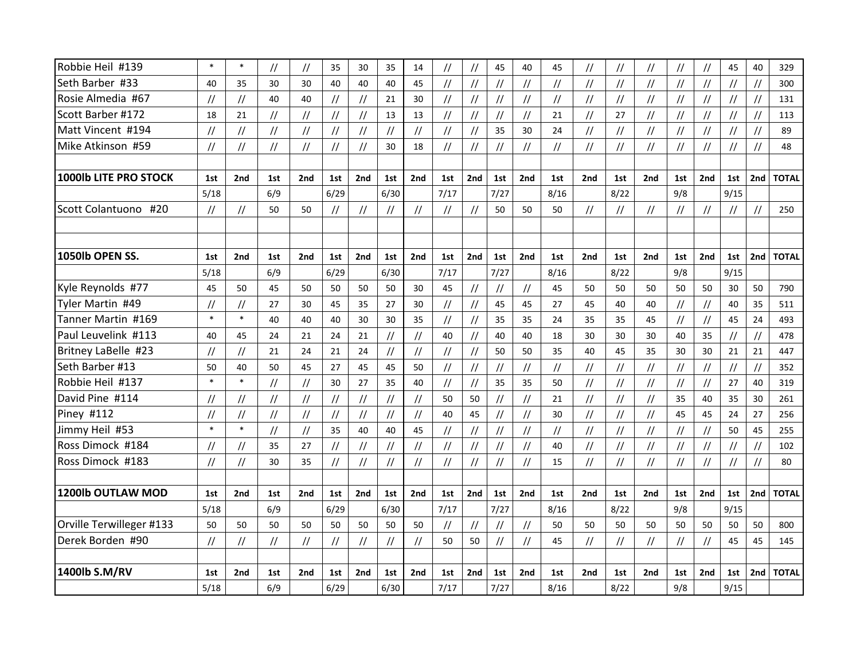| Robbie Heil #139         | $\ast$                                                       | $\ast$        | $\frac{1}{2}$                    | $\frac{1}{2}$                    | 35                         | 30            | 35            | 14                               | $\frac{1}{2}$                    | $\frac{1}{2}$                    | 45                               | 40                         | 45                               | $\prime\prime$                   | $\frac{1}{2}$                    | $\prime\prime$ | $\sqrt{}$                        | $\frac{1}{2}$                    | 45                               | 40                               | 329          |
|--------------------------|--------------------------------------------------------------|---------------|----------------------------------|----------------------------------|----------------------------|---------------|---------------|----------------------------------|----------------------------------|----------------------------------|----------------------------------|----------------------------|----------------------------------|----------------------------------|----------------------------------|----------------|----------------------------------|----------------------------------|----------------------------------|----------------------------------|--------------|
| Seth Barber #33          | 40                                                           | 35            | 30                               | 30                               | 40                         | 40            | 40            | 45                               | $\sqrt{}$                        | $\ensuremath{\mathnormal{/\!/}}$ | $\frac{1}{2}$                    | $\frac{1}{2}$              | $\frac{1}{2}$                    | $\frac{1}{2}$                    | $\frac{1}{2}$                    | $\frac{1}{2}$  | $\sqrt{}$                        | $\sqrt{}$                        | $\sqrt{}$                        | $\sqrt{}$                        | 300          |
| Rosie Almedia #67        | $\frac{1}{2}$                                                | $\frac{1}{2}$ | 40                               | 40                               | $\frac{1}{2}$              | $\frac{1}{2}$ | 21            | 30                               | $\frac{1}{2}$                    | $\ensuremath{\mathnormal{/\!/}}$ | $\frac{1}{2}$                    | $\frac{1}{2}$              | $\ensuremath{\mathnormal{/\!/}}$ | $\frac{1}{2}$                    | $\frac{1}{2}$                    | $\prime\prime$ | $\frac{1}{2}$                    | $\frac{1}{2}$                    | $\frac{1}{2}$                    | $\frac{1}{2}$                    | 131          |
| Scott Barber #172        | 18                                                           | 21            | //                               | $\ensuremath{\mathnormal{/\!/}}$ | $\frac{1}{2}$              | $\sqrt{}$     | 13            | 13                               | $\ensuremath{\mathnormal{/\!/}}$ | $\ensuremath{\mathnormal{/\!/}}$ | $\ensuremath{\mathnormal{/\!/}}$ | $\frac{1}{2}$              | 21                               | $\frac{1}{2}$                    | 27                               | $\frac{1}{2}$  | $\ensuremath{\mathnormal{/\!/}}$ | $\ensuremath{\mathnormal{/\!/}}$ | $\frac{1}{2}$                    | $\ensuremath{\mathnormal{/\!/}}$ | 113          |
| Matt Vincent #194        | $\frac{1}{2}$                                                | $\frac{1}{2}$ | $\frac{1}{2}$                    | $\frac{1}{2}$                    | $\frac{1}{2}$              | $\frac{1}{2}$ | $\frac{1}{2}$ | $\frac{1}{2}$                    | $\frac{1}{2}$                    | $\ensuremath{\mathnormal{/\!/}}$ | 35                               | 30                         | 24                               | $\frac{1}{2}$                    | $\frac{1}{2}$                    | $\frac{1}{2}$  | $\frac{1}{2}$                    | $\frac{1}{2}$                    | $\frac{1}{2}$                    | $\sqrt{}$                        | 89           |
| Mike Atkinson #59        | $\ensuremath{\mathnormal{}}\slash\ensuremath{\mathnormal{}}$ | $\sqrt{}$     | $\ensuremath{\mathnormal{/\!/}}$ | $\ensuremath{\mathnormal{/\!/}}$ | $\frac{1}{2}$              | $\sqrt{}$     | 30            | 18                               | $\frac{1}{2}$                    | $\ensuremath{\mathnormal{/\!/}}$ | $\frac{1}{2}$                    | $\ensuremath{\mathcal{U}}$ | $\ensuremath{\mathnormal{/\!/}}$ | $\frac{1}{2}$                    | $\ensuremath{\mathnormal{/\!/}}$ | $\frac{1}{2}$  | $\frac{1}{2}$                    | $\ensuremath{\mathnormal{/\!/}}$ | $\ensuremath{\mathnormal{/\!/}}$ | $\ensuremath{\mathnormal{/\!/}}$ | 48           |
|                          |                                                              |               |                                  |                                  |                            |               |               |                                  |                                  |                                  |                                  |                            |                                  |                                  |                                  |                |                                  |                                  |                                  |                                  |              |
| 1000lb LITE PRO STOCK    | 1st                                                          | 2nd           | 1st                              | 2nd                              | 1st                        | 2nd           | 1st           | 2nd                              | 1st                              | 2nd                              | 1st                              | 2nd                        | 1st                              | 2nd                              | 1st                              | 2nd            | 1st                              | 2 <sub>nd</sub>                  | 1st                              | 2nd                              | <b>TOTAL</b> |
|                          | 5/18                                                         |               | 6/9                              |                                  | 6/29                       |               | 6/30          |                                  | 7/17                             |                                  | 7/27                             |                            | 8/16                             |                                  | 8/22                             |                | 9/8                              |                                  | 9/15                             |                                  |              |
| Scott Colantuono #20     | $\frac{1}{2}$                                                | $\frac{1}{2}$ | 50                               | 50                               | $\frac{1}{2}$              | $\frac{1}{2}$ | $\frac{1}{2}$ | $\frac{1}{2}$                    | $\frac{1}{2}$                    | $\overline{11}$                  | 50                               | 50                         | 50                               | $\frac{1}{2}$                    | $\frac{1}{2}$                    | $\frac{1}{2}$  | $\sqrt{}$                        | $\frac{1}{2}$                    | $\frac{1}{2}$                    | $\frac{1}{2}$                    | 250          |
|                          |                                                              |               |                                  |                                  |                            |               |               |                                  |                                  |                                  |                                  |                            |                                  |                                  |                                  |                |                                  |                                  |                                  |                                  |              |
|                          |                                                              |               |                                  |                                  |                            |               |               |                                  |                                  |                                  |                                  |                            |                                  |                                  |                                  |                |                                  |                                  |                                  |                                  |              |
| 1050lb OPEN SS.          | 1st                                                          | 2nd           | 1st                              | 2nd                              | 1st                        | 2nd           | 1st           | 2nd                              | 1st                              | 2nd                              | 1st                              | 2nd                        | 1st                              | 2nd                              | 1st                              | 2nd            | 1st                              | 2nd                              | 1st                              | 2nd                              | <b>TOTAL</b> |
|                          | 5/18                                                         |               | 6/9                              |                                  | 6/29                       |               | 6/30          |                                  | 7/17                             |                                  | 7/27                             |                            | 8/16                             |                                  | 8/22                             |                | 9/8                              |                                  | 9/15                             |                                  |              |
| Kyle Reynolds #77        | 45                                                           | 50            | 45                               | 50                               | 50                         | 50            | 50            | 30                               | 45                               | $\ensuremath{\mathnormal{/\!/}}$ | $\frac{1}{2}$                    | $\frac{1}{2}$              | 45                               | 50                               | 50                               | 50             | 50                               | 50                               | 30                               | 50                               | 790          |
| Tyler Martin #49         | $\frac{1}{2}$                                                | $\frac{1}{2}$ | 27                               | 30                               | 45                         | 35            | 27            | 30                               | $\sqrt{}$                        | $\frac{1}{2}$                    | 45                               | 45                         | 27                               | 45                               | 40                               | 40             | $\frac{1}{2}$                    | $\ensuremath{\mathnormal{/\!/}}$ | 40                               | 35                               | 511          |
| Tanner Martin #169       | $\ast$                                                       | $\ast$        | 40                               | 40                               | 40                         | 30            | 30            | 35                               | $\frac{1}{2}$                    | $\frac{1}{2}$                    | 35                               | 35                         | 24                               | 35                               | 35                               | 45             | $\sqrt{}$                        | $\frac{1}{2}$                    | 45                               | 24                               | 493          |
| Paul Leuvelink #113      | 40                                                           | 45            | 24                               | 21                               | 24                         | 21            | $\frac{1}{2}$ | $\frac{1}{2}$                    | 40                               | $\ensuremath{\mathnormal{/\!/}}$ | 40                               | 40                         | 18                               | 30                               | 30                               | 30             | 40                               | 35                               | $\frac{1}{2}$                    | $\ensuremath{\mathnormal{/\!/}}$ | 478          |
| Britney LaBelle #23      | $^{\prime\prime}$                                            | $\frac{1}{2}$ | 21                               | 24                               | 21                         | 24            | $\frac{1}{2}$ | $\frac{1}{2}$                    | $\frac{1}{2}$                    | $\ensuremath{\mathnormal{/\!/}}$ | 50                               | 50                         | 35                               | 40                               | 45                               | 35             | 30                               | 30                               | 21                               | 21                               | 447          |
| Seth Barber #13          | 50                                                           | 40            | 50                               | 45                               | 27                         | 45            | 45            | 50                               | $\frac{1}{2}$                    | $\ensuremath{\mathnormal{/\!/}}$ | $\frac{1}{2}$                    | $\frac{1}{2}$              | $\ensuremath{\mathnormal{/\!/}}$ | $\frac{1}{2}$                    | $\frac{1}{2}$                    | $\frac{1}{2}$  | $\frac{1}{2}$                    | $\frac{1}{2}$                    | $\ensuremath{\mathnormal{/\!/}}$ | $\ensuremath{\mathnormal{/\!/}}$ | 352          |
| Robbie Heil #137         | $\ast$                                                       | $\ast$        | $\frac{1}{2}$                    | $\frac{1}{2}$                    | 30                         | 27            | 35            | 40                               | $\frac{1}{2}$                    | $\frac{1}{2}$                    | 35                               | 35                         | 50                               | $\frac{1}{2}$                    | $\frac{1}{2}$                    | $\frac{1}{2}$  | $\frac{1}{2}$                    | $\frac{1}{2}$                    | 27                               | 40                               | 319          |
| David Pine #114          | $\frac{1}{2}$                                                | $\sqrt{}$     | $\frac{1}{2}$                    | $\frac{1}{2}$                    | $\ensuremath{\mathcal{U}}$ | $\frac{1}{2}$ | $\frac{1}{2}$ | $\frac{1}{2}$                    | 50                               | 50                               | $^{\prime\prime}$                | $\frac{1}{2}$              | 21                               | $\frac{1}{2}$                    | $\frac{1}{2}$                    | $\prime\prime$ | 35                               | 40                               | 35                               | 30                               | 261          |
| Piney #112               | $\prime$ /                                                   | $\frac{1}{2}$ | $\frac{1}{2}$                    | $\frac{1}{2}$                    | $\frac{1}{2}$              | $\frac{1}{2}$ | $\frac{1}{2}$ | $\frac{1}{2}$                    | 40                               | 45                               | $\frac{1}{2}$                    | $\frac{1}{2}$              | 30                               | $\frac{1}{2}$                    | $\frac{1}{2}$                    | $\frac{1}{2}$  | 45                               | 45                               | 24                               | 27                               | 256          |
| Jimmy Heil #53           | $\ast$                                                       | $\ast$        | $\frac{1}{2}$                    | $\frac{1}{2}$                    | 35                         | 40            | 40            | 45                               | $\frac{1}{2}$                    | $\ensuremath{\mathnormal{/\!/}}$ | $\frac{1}{2}$                    | $\frac{1}{2}$              | $\ensuremath{\mathnormal{/\!/}}$ | $\frac{1}{2}$                    | $\frac{1}{2}$                    | $\frac{1}{2}$  | $\frac{1}{2}$                    | $\frac{1}{2}$                    | 50                               | 45                               | 255          |
| Ross Dimock #184         | $\frac{1}{2}$                                                | $\sqrt{}$     | 35                               | 27                               | $\frac{1}{2}$              | $\frac{1}{2}$ | $\frac{1}{2}$ | $\ensuremath{\mathnormal{/\!/}}$ | $\frac{1}{2}$                    | $\ensuremath{\mathnormal{/\!/}}$ | $\frac{1}{2}$                    | $\frac{1}{2}$              | 40                               | $\frac{1}{2}$                    | $\frac{1}{2}$                    | $\frac{1}{2}$  | $\frac{1}{2}$                    | $\frac{1}{2}$                    | $\ensuremath{\mathnormal{/\!/}}$ | $\ensuremath{\mathnormal{/\!/}}$ | 102          |
| Ross Dimock #183         | $\frac{1}{2}$                                                | $\sqrt{}$     | 30                               | 35                               | $\frac{1}{2}$              | $\frac{1}{2}$ | $\frac{1}{2}$ | $\ensuremath{\mathnormal{/\!/}}$ | $\frac{1}{2}$                    | $\frac{1}{2}$                    | $\frac{1}{2}$                    | $\frac{1}{2}$              | 15                               | $\ensuremath{\mathnormal{/\!/}}$ | $\frac{1}{2}$                    | $\frac{1}{2}$  | $\frac{1}{2}$                    | $\ensuremath{\mathnormal{/\!/}}$ | $\ensuremath{\mathnormal{/\!/}}$ | $\ensuremath{\mathnormal{/\!/}}$ | 80           |
|                          |                                                              |               |                                  |                                  |                            |               |               |                                  |                                  |                                  |                                  |                            |                                  |                                  |                                  |                |                                  |                                  |                                  |                                  |              |
| 1200lb OUTLAW MOD        | 1st                                                          | 2nd           | 1st                              | 2nd                              | 1st                        | 2nd           | 1st           | 2nd                              | 1st                              | 2nd                              | 1st                              | 2nd                        | 1st                              | 2nd                              | 1st                              | 2nd            | 1st                              | 2nd                              | 1st                              | 2nd                              | <b>TOTAL</b> |
|                          | 5/18                                                         |               | 6/9                              |                                  | 6/29                       |               | 6/30          |                                  | 7/17                             |                                  | 7/27                             |                            | 8/16                             |                                  | 8/22                             |                | 9/8                              |                                  | 9/15                             |                                  |              |
| Orville Terwilleger #133 | 50                                                           | 50            | 50                               | 50                               | 50                         | 50            | 50            | 50                               | $\frac{1}{2}$                    | $\ensuremath{\mathnormal{/\!/}}$ | $\frac{1}{2}$                    | $\frac{1}{2}$              | 50                               | 50                               | 50                               | 50             | 50                               | 50                               | 50                               | 50                               | 800          |
| Derek Borden #90         | $\frac{1}{2}$                                                | $\frac{1}{2}$ | $\frac{1}{2}$                    | $\ensuremath{\mathnormal{/\!/}}$ | $\frac{1}{2}$              | $\frac{1}{2}$ | $\frac{1}{2}$ | $\frac{1}{2}$                    | 50                               | 50                               | $\frac{1}{2}$                    | $\frac{1}{2}$              | 45                               | $\ensuremath{\mathnormal{/\!/}}$ | $\frac{1}{2}$                    | $\frac{1}{2}$  | $\frac{1}{2}$                    | $\frac{1}{2}$                    | 45                               | 45                               | 145          |
|                          |                                                              |               |                                  |                                  |                            |               |               |                                  |                                  |                                  |                                  |                            |                                  |                                  |                                  |                |                                  |                                  |                                  |                                  |              |
| 1400lb S.M/RV            | 1st                                                          | 2nd           | 1st                              | 2nd                              | 1st                        | 2nd           | 1st           | 2nd                              | 1st                              | 2nd                              | 1st                              | 2nd                        | 1st                              | 2nd                              | 1st                              | 2nd            | 1st                              | 2nd                              | 1st                              | 2nd                              | <b>TOTAL</b> |
|                          | 5/18                                                         |               | 6/9                              |                                  | 6/29                       |               | 6/30          |                                  | 7/17                             |                                  | 7/27                             |                            | 8/16                             |                                  | 8/22                             |                | 9/8                              |                                  | 9/15                             |                                  |              |